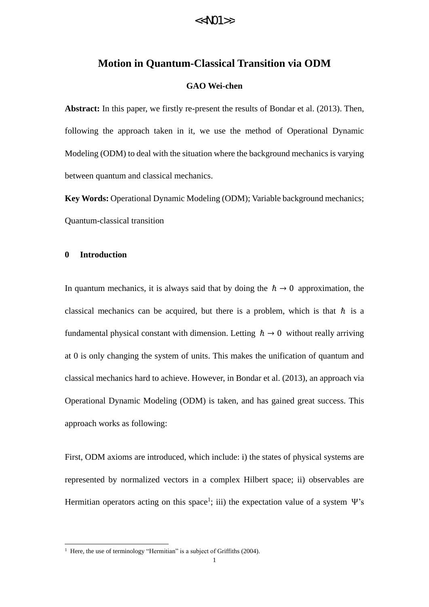#### **Motion in Quantum-Classical Transition via ODM**

#### **GAO Wei-chen**

**Abstract:** In this paper, we firstly re-present the results of Bondar et al. (2013). Then, following the approach taken in it, we use the method of Operational Dynamic Modeling (ODM) to deal with the situation where the background mechanics is varying between quantum and classical mechanics.

**Key Words:** Operational Dynamic Modeling (ODM); Variable background mechanics; Quantum-classical transition

#### **0 Introduction**

<u>.</u>

In quantum mechanics, it is always said that by doing the  $\hbar \rightarrow 0$  approximation, the classical mechanics can be acquired, but there is a problem, which is that  $\hbar$  is a fundamental physical constant with dimension. Letting  $h \rightarrow 0$  without really arriving at 0 is only changing the system of units. This makes the unification of quantum and classical mechanics hard to achieve. However, in Bondar et al. (2013), an approach via Operational Dynamic Modeling (ODM) is taken, and has gained great success. This approach works as following:

First, ODM axioms are introduced, which include: i) the states of physical systems are represented by normalized vectors in a complex Hilbert space; ii) observables are Hermitian operators acting on this space<sup>1</sup>; iii) the expectation value of a system  $\Psi$ 's

<sup>&</sup>lt;sup>1</sup> Here, the use of terminology "Hermitian" is a subject of Griffiths (2004).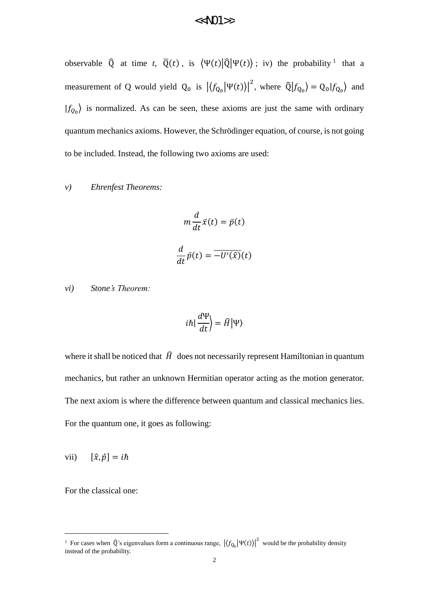observable  $\hat{Q}$  at time *t*,  $\overline{Q}(t)$ , is  $\langle \Psi(t) | \hat{Q} | \Psi(t) \rangle$ ; iv) the probability <sup>1</sup> that a measurement of Q would yield  $Q_0$  is  $|\langle f_{Q_0} | \Psi(t) \rangle|^2$ , where  $\hat{Q} | f_{Q_0} \rangle = Q_0 | f_{Q_0} \rangle$  and  $|f_{Q_0}\rangle$  is normalized. As can be seen, these axioms are just the same with ordinary quantum mechanics axioms. However, the Schrödinger equation, of course, is not going to be included. Instead, the following two axioms are used:

#### *v) Ehrenfest Theorems:*

$$
m\frac{d}{dt}\bar{x}(t) = \bar{p}(t)
$$

$$
\frac{d}{dt}\bar{p}(t) = \overline{-U'(\hat{x})}(t)
$$

*vi) Stone's Theorem:*

$$
i\hbar \left| \frac{d\Psi}{dt} \right| = \widehat{H} \left| \Psi \right\rangle
$$

where it shall be noticed that  $\hat{H}$  does not necessarily represent Hamiltonian in quantum mechanics, but rather an unknown Hermitian operator acting as the motion generator. The next axiom is where the difference between quantum and classical mechanics lies. For the quantum one, it goes as following:

vii)  $[\hat{x}, \hat{p}] = i\hbar$ 

For the classical one:

<u>.</u>

<sup>&</sup>lt;sup>1</sup> For cases when  $\hat{Q}$ 's eigenvalues form a continuous range,  $|\langle f_{Q_0}|\Psi(t)\rangle|^2$  would be the probability density instead of the probability.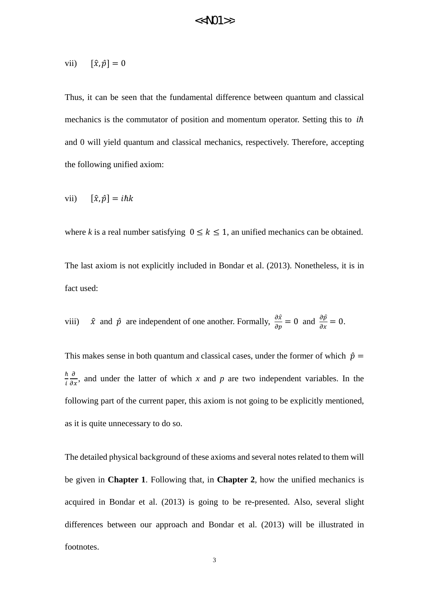$$
vii) \qquad [\hat{x}, \hat{p}] = 0
$$

Thus, it can be seen that the fundamental difference between quantum and classical mechanics is the commutator of position and momentum operator. Setting this to  $i\hbar$ and 0 will yield quantum and classical mechanics, respectively. Therefore, accepting the following unified axiom:

$$
vii) \qquad [\hat{x}, \hat{p}] = i\hbar k
$$

where *k* is a real number satisfying  $0 \le k \le 1$ , an unified mechanics can be obtained.

The last axiom is not explicitly included in Bondar et al. (2013). Nonetheless, it is in fact used:

viii) 
$$
\hat{x}
$$
 and  $\hat{p}$  are independent of one another. Formally,  $\frac{\partial \hat{x}}{\partial p} = 0$  and  $\frac{\partial \hat{p}}{\partial x} = 0$ .

This makes sense in both quantum and classical cases, under the former of which  $\hat{p}$  = ℏ i  $\frac{\partial}{\partial x}$ , and under the latter of which *x* and *p* are two independent variables. In the following part of the current paper, this axiom is not going to be explicitly mentioned, as it is quite unnecessary to do so.

The detailed physical background of these axioms and several notes related to them will be given in **Chapter 1**. Following that, in **Chapter 2**, how the unified mechanics is acquired in Bondar et al. (2013) is going to be re-presented. Also, several slight differences between our approach and Bondar et al. (2013) will be illustrated in footnotes.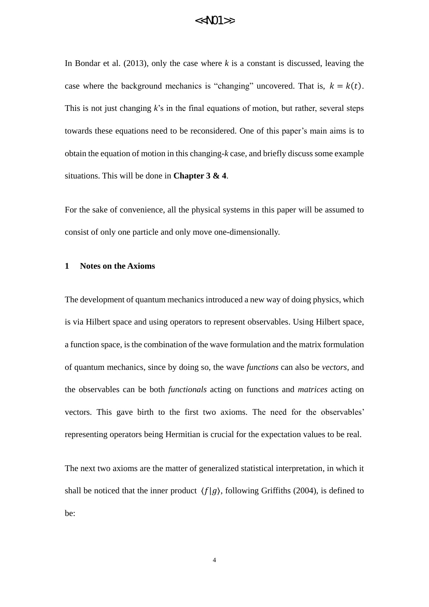In Bondar et al. (2013), only the case where *k* is a constant is discussed, leaving the case where the background mechanics is "changing" uncovered. That is,  $k = k(t)$ . This is not just changing *k*'s in the final equations of motion, but rather, several steps towards these equations need to be reconsidered. One of this paper's main aims is to obtain the equation of motion in this changing-*k* case, and briefly discuss some example situations. This will be done in **Chapter 3 & 4**.

For the sake of convenience, all the physical systems in this paper will be assumed to consist of only one particle and only move one-dimensionally.

#### **1 Notes on the Axioms**

The development of quantum mechanics introduced a new way of doing physics, which is via Hilbert space and using operators to represent observables. Using Hilbert space, a function space, is the combination of the wave formulation and the matrix formulation of quantum mechanics, since by doing so, the wave *functions* can also be *vectors*, and the observables can be both *functionals* acting on functions and *matrices* acting on vectors. This gave birth to the first two axioms. The need for the observables' representing operators being Hermitian is crucial for the expectation values to be real.

The next two axioms are the matter of generalized statistical interpretation, in which it shall be noticed that the inner product  $\langle f|g \rangle$ , following Griffiths (2004), is defined to be: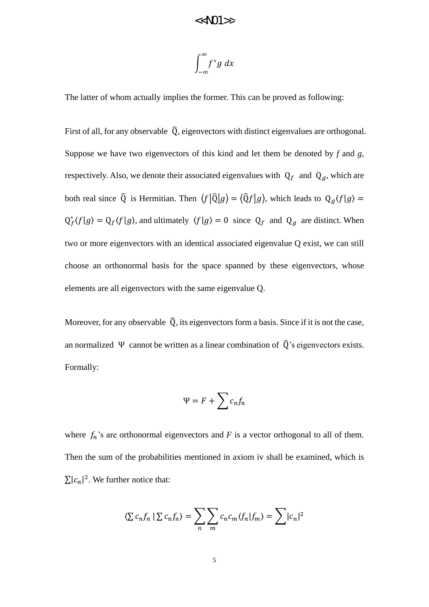$$
\int_{-\infty}^{\infty} f^*g\ dx
$$

The latter of whom actually implies the former. This can be proved as following:

First of all, for any observable  $\hat{Q}$ , eigenvectors with distinct eigenvalues are orthogonal. Suppose we have two eigenvectors of this kind and let them be denoted by *f* and *g*, respectively. Also, we denote their associated eigenvalues with  $Q_f$  and  $Q_g$ , which are both real since  $\hat{Q}$  is Hermitian. Then  $\langle f | \hat{Q} | g \rangle = \langle \hat{Q} f | g \rangle$ , which leads to  $Q_g \langle f | g \rangle =$  $Q_f^*(f|g) = Q_f(f|g)$ , and ultimately  $\langle f|g \rangle = 0$  since  $Q_f$  and  $Q_g$  are distinct. When two or more eigenvectors with an identical associated eigenvalue Q exist, we can still choose an orthonormal basis for the space spanned by these eigenvectors, whose elements are all eigenvectors with the same eigenvalue Q.

Moreover, for any observable  $\hat{Q}$ , its eigenvectors form a basis. Since if it is not the case, an normalized  $\Psi$  cannot be written as a linear combination of  $\hat{Q}$ 's eigenvectors exists. Formally:

$$
\Psi = F + \sum c_n f_n
$$

where  $f_n$ 's are orthonormal eigenvectors and  $F$  is a vector orthogonal to all of them. Then the sum of the probabilities mentioned in axiom iv shall be examined, which is  $\sum |c_n|^2$ . We further notice that:

$$
\langle \sum c_n f_n | \sum c_n f_n \rangle = \sum_n \sum_m c_n c_m \langle f_n | f_m \rangle = \sum |c_n|^2
$$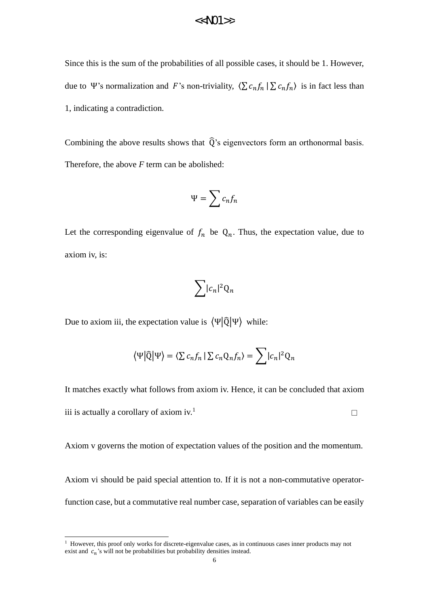Since this is the sum of the probabilities of all possible cases, it should be 1. However, due to Ψ's normalization and F's non-triviality,  $\langle \sum c_n f_n | \sum c_n f_n \rangle$  is in fact less than 1, indicating a contradiction.

Combining the above results shows that  $\widehat{Q}$ 's eigenvectors form an orthonormal basis. Therefore, the above *F* term can be abolished:

$$
\Psi = \sum c_n f_n
$$

Let the corresponding eigenvalue of  $f_n$  be  $Q_n$ . Thus, the expectation value, due to axiom iv, is:

$$
\sum |c_n|^2 Q_n
$$

Due to axiom iii, the expectation value is  $\langle \Psi | \hat{Q} | \Psi \rangle$  while:

-

$$
\langle \Psi | \widehat{\mathbb{Q}} | \Psi \rangle = \langle \Sigma c_n f_n | \Sigma c_n \mathbb{Q}_n f_n \rangle = \sum |c_n|^2 \mathbb{Q}_n
$$

It matches exactly what follows from axiom iv. Hence, it can be concluded that axiom iii is actually a corollary of axiom  $iv<sup>1</sup>$ . □

Axiom v governs the motion of expectation values of the position and the momentum.

Axiom vi should be paid special attention to. If it is not a non-commutative operatorfunction case, but a commutative real number case, separation of variables can be easily

<sup>&</sup>lt;sup>1</sup> However, this proof only works for discrete-eigenvalue cases, as in continuous cases inner products may not exist and  $c_n$ 's will not be probabilities but probability densities instead.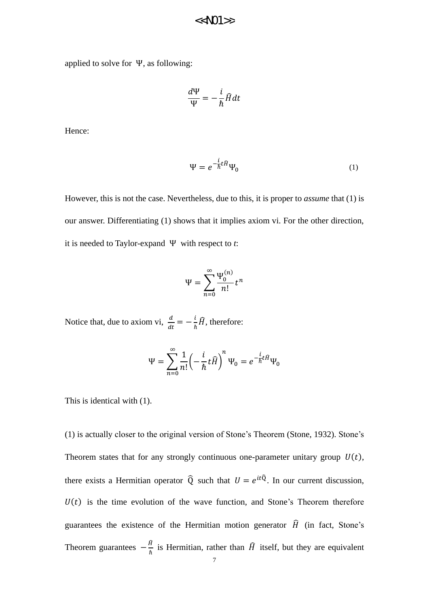applied to solve for Ψ, as following:

$$
\frac{d\Psi}{\Psi} = -\frac{i}{\hbar}\widehat{H}dt
$$

Hence:

$$
\Psi = e^{-\frac{i}{\hbar}t\hat{H}}\Psi_0
$$
 (1)

However, this is not the case. Nevertheless, due to this, it is proper to *assume* that (1) is our answer. Differentiating (1) shows that it implies axiom vi. For the other direction, it is needed to Taylor-expand Ψ with respect to *t*:

$$
\Psi = \sum_{n=0}^{\infty} \frac{\Psi_0^{(n)}}{n!} t^n
$$

Notice that, due to axiom vi,  $\frac{d}{dt} = -\frac{i}{\hbar}$  $\frac{l}{\hbar}\widehat{H}$ , therefore:

$$
\Psi = \sum_{n=0}^{\infty} \frac{1}{n!} \left( -\frac{i}{\hbar} t \hat{H} \right)^n \Psi_0 = e^{-\frac{i}{\hbar} t \hat{H}} \Psi_0
$$

This is identical with (1).

(1) is actually closer to the original version of Stone's Theorem (Stone, 1932). Stone's Theorem states that for any strongly continuous one-parameter unitary group  $U(t)$ , there exists a Hermitian operator  $\hat{Q}$  such that  $U = e^{it\hat{Q}}$ . In our current discussion,  $U(t)$  is the time evolution of the wave function, and Stone's Theorem therefore guarantees the existence of the Hermitian motion generator  $\hat{H}$  (in fact, Stone's Theorem guarantees  $-\frac{\hat{H}}{h}$  $\frac{H}{\hbar}$  is Hermitian, rather than  $\widehat{H}$  itself, but they are equivalent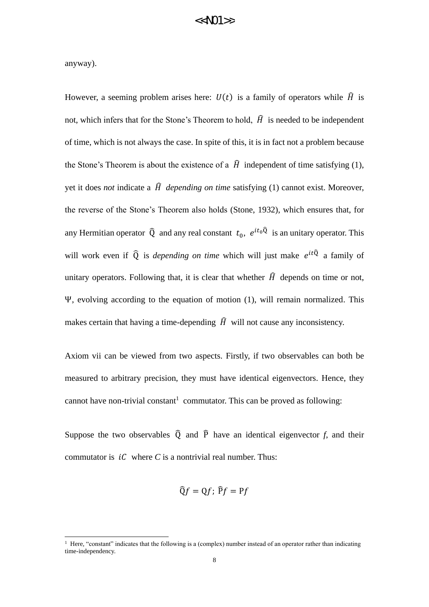anyway).

<u>.</u>

However, a seeming problem arises here:  $U(t)$  is a family of operators while  $\hat{H}$  is not, which infers that for the Stone's Theorem to hold,  $\hat{H}$  is needed to be independent of time, which is not always the case. In spite of this, it is in fact not a problem because the Stone's Theorem is about the existence of a  $\hat{H}$  independent of time satisfying (1), yet it does *not* indicate a  $\hat{H}$  depending on time satisfying (1) cannot exist. Moreover, the reverse of the Stone's Theorem also holds (Stone, 1932), which ensures that, for any Hermitian operator  $\hat{Q}$  and any real constant  $t_0$ ,  $e^{it_0\hat{Q}}$  is an unitary operator. This will work even if  $\hat{Q}$  is *depending on time* which will just make  $e^{it\hat{Q}}$  a family of unitary operators. Following that, it is clear that whether  $\hat{H}$  depends on time or not, Ψ, evolving according to the equation of motion (1), will remain normalized. This makes certain that having a time-depending  $\hat{H}$  will not cause any inconsistency.

Axiom vii can be viewed from two aspects. Firstly, if two observables can both be measured to arbitrary precision, they must have identical eigenvectors. Hence, they cannot have non-trivial constant<sup>1</sup> commutator. This can be proved as following:

Suppose the two observables  $\widehat{Q}$  and  $\widehat{P}$  have an identical eigenvector *f*, and their commutator is  $i\mathcal{C}$  where  $\mathcal{C}$  is a nontrivial real number. Thus:

$$
\widehat{Q}f = Qf; \,\widehat{P}f = Pf
$$

<sup>&</sup>lt;sup>1</sup> Here, "constant" indicates that the following is a (complex) number instead of an operator rather than indicating time-independency.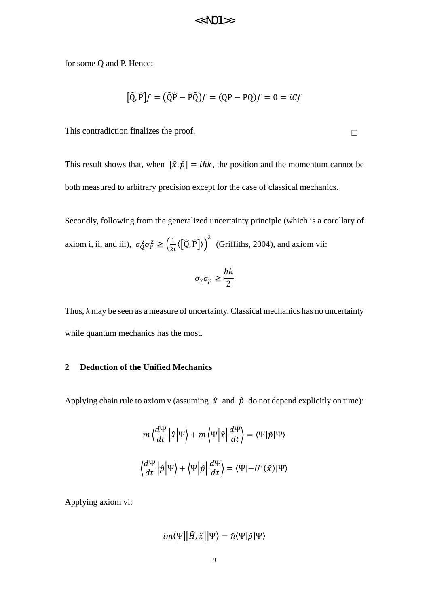for some Q and P. Hence:

$$
[\hat{Q}, \hat{P}]f = (\hat{Q}\hat{P} - \hat{P}\hat{Q})f = (QP - PQ)f = 0 = iCf
$$

This contradiction finalizes the proof.

This result shows that, when  $[\hat{x}, \hat{p}] = i\hbar k$ , the position and the momentum cannot be both measured to arbitrary precision except for the case of classical mechanics.

Secondly, following from the generalized uncertainty principle (which is a corollary of axiom i, ii, and iii),  $\sigma_Q^2 \sigma_P^2 \geq \left(\frac{1}{2i}\langle [\hat{Q}, \hat{P}] \rangle\right)^2$  (Griffiths, 2004), and axiom vii:

$$
\sigma_x \sigma_p \ge \frac{\hbar k}{2}
$$

Thus, *k* may be seen as a measure of uncertainty. Classical mechanics has no uncertainty while quantum mechanics has the most.

#### **2 Deduction of the Unified Mechanics**

Applying chain rule to axiom v (assuming  $\hat{x}$  and  $\hat{p}$  do not depend explicitly on time):

$$
m\left\langle \frac{d\Psi}{dt} \left| \hat{x} \right| \Psi \right\rangle + m\left\langle \Psi \right| \hat{x} \left| \frac{d\Psi}{dt} \right\rangle = \left\langle \Psi \right| \hat{p} \left| \Psi \right\rangle
$$

$$
\left\langle \frac{d\Psi}{dt} \left| \hat{p} \right| \Psi \right\rangle + \left\langle \Psi \right| \hat{p} \left| \frac{d\Psi}{dt} \right\rangle = \left\langle \Psi \right| - U'(\hat{x}) \left| \Psi \right\rangle
$$

Applying axiom vi:

$$
im\langle\Psi|[\widehat{H},\widehat{x}]|\Psi\rangle=\hbar\langle\Psi|\widehat{p}|\Psi\rangle
$$

□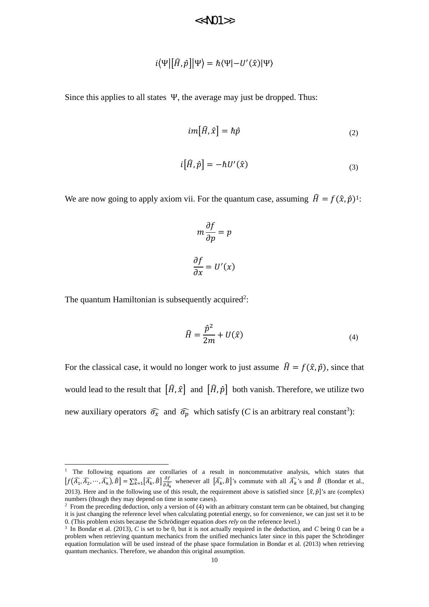$$
<\!\!<\!\!N\!01\!\!>
$$

$$
i\langle\Psi|[\widehat{H},\widehat{p}]|\Psi\rangle=\hbar\langle\Psi|-U'(\widehat{x})|\Psi\rangle
$$

Since this applies to all states Ψ, the average may just be dropped. Thus:

$$
im[\widehat{H},\widehat{x}] = \hbar \widehat{p}
$$
\n(2)

$$
i[\hat{H}, \hat{p}] = -\hbar U'(\hat{x}) \tag{3}
$$

We are now going to apply axiom vii. For the quantum case, assuming  $\hat{H} = f(\hat{x}, \hat{p})^1$ :

$$
m\frac{\partial f}{\partial p} = p
$$

$$
\frac{\partial f}{\partial x} = U'(x)
$$

The quantum Hamiltonian is subsequently acquired<sup>2</sup>:

<u>.</u>

$$
\widehat{H} = \frac{\widehat{p}^2}{2m} + U(\widehat{x})\tag{4}
$$

For the classical case, it would no longer work to just assume  $\hat{H} = f(\hat{x}, \hat{p})$ , since that would lead to the result that  $[\hat{H}, \hat{x}]$  and  $[\hat{H}, \hat{p}]$  both vanish. Therefore, we utilize two new auxiliary operators  $\widehat{\sigma}_x$  and  $\widehat{\sigma}_p$  which satisfy (*C* is an arbitrary real constant<sup>3</sup>):

<sup>&</sup>lt;sup>1</sup> The following equations are corollaries of a result in noncommutative analysis, which states that  $[f(\widehat{A_1}, \widehat{A_2}, \cdots, \widehat{A_n}), \widehat{B}] = \sum_{k=1}^n [\widehat{A_k}, \widehat{B}] \frac{\partial f}{\partial \widehat{A_k}}$  $\prod_{k=1}^{n} [\widehat{A}_k, \widehat{B}] \frac{\partial f}{\partial \widehat{A}_k}$  whenever all  $[\widehat{A}_k, \widehat{B}]$ 's commute with all  $\widehat{A}_k$ 's and  $\widehat{B}$  (Bondar et al., 2013). Here and in the following use of this result, the requirement above is satisfied since  $[\hat{x}, \hat{p}]$ 's are (complex) numbers (though they may depend on time in some cases).

<sup>&</sup>lt;sup>2</sup> From the preceding deduction, only a version of (4) with an arbitrary constant term can be obtained, but changing it is just changing the reference level when calculating potential energy, so for convenience, we can just set it to be 0. (This problem exists because the Schrödinger equation *does rely* on the reference level.)

<sup>3</sup> In Bondar et al. (2013), *C* is set to be 0, but it is not actually required in the deduction, and *C* being 0 can be a problem when retrieving quantum mechanics from the unified mechanics later since in this paper the Schrödinger equation formulation will be used instead of the phase space formulation in Bondar et al. (2013) when retrieving quantum mechanics. Therefore, we abandon this original assumption.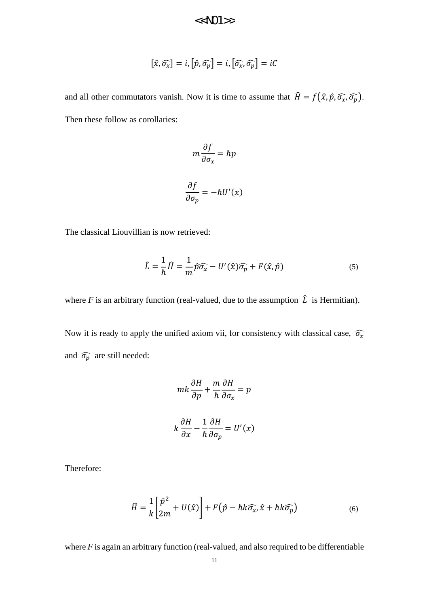$<<$ N)1>>

$$
[\hat{x}, \widehat{\sigma_x}] = i, [\hat{p}, \widehat{\sigma_p}] = i, [\widehat{\sigma_x}, \widehat{\sigma_p}] = iC
$$

and all other commutators vanish. Now it is time to assume that  $\hat{H} = f(\hat{x}, \hat{p}, \hat{\sigma_x}, \hat{\sigma_p})$ . Then these follow as corollaries:

$$
m\frac{\partial f}{\partial \sigma_x} = \hbar p
$$

$$
\frac{\partial f}{\partial \sigma_p} = -\hbar U'(x)
$$

The classical Liouvillian is now retrieved:

$$
\hat{L} = \frac{1}{\hbar} \hat{H} = \frac{1}{m} \hat{p} \hat{\sigma}_x - U'(\hat{x}) \hat{\sigma}_p + F(\hat{x}, \hat{p})
$$
\n(5)

where *F* is an arbitrary function (real-valued, due to the assumption  $\hat{L}$  is Hermitian).

Now it is ready to apply the unified axiom vii, for consistency with classical case,  $\widehat{\sigma}_x$ and  $\widehat{\sigma_p}$  are still needed:

$$
mk\frac{\partial H}{\partial p} + \frac{m}{\hbar} \frac{\partial H}{\partial \sigma_x} = p
$$
  

$$
k\frac{\partial H}{\partial x} - \frac{1}{\hbar} \frac{\partial H}{\partial \sigma_p} = U'(x)
$$

Therefore:

$$
\widehat{H} = \frac{1}{k} \left[ \frac{\widehat{p}^2}{2m} + U(\widehat{x}) \right] + F(\widehat{p} - \hbar k \widehat{\sigma}_x, \widehat{x} + \hbar k \widehat{\sigma}_p)
$$
(6)

where *F* is again an arbitrary function (real-valued, and also required to be differentiable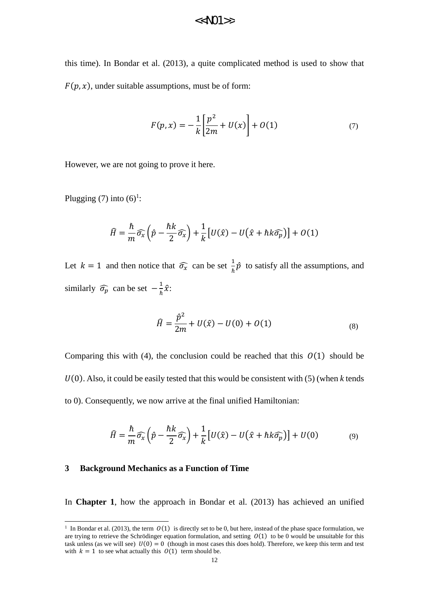this time). In Bondar et al. (2013), a quite complicated method is used to show that  $F(p, x)$ , under suitable assumptions, must be of form:

$$
F(p,x) = -\frac{1}{k} \left[ \frac{p^2}{2m} + U(x) \right] + O(1)
$$
 (7)

However, we are not going to prove it here.

Plugging (7) into  $(6)^1$ :

$$
\widehat{H} = \frac{\hbar}{m}\widehat{\sigma}_x\left(\widehat{p} - \frac{\hbar k}{2}\widehat{\sigma}_x\right) + \frac{1}{k}\left[U(\widehat{x}) - U(\widehat{x} + \hbar k\widehat{\sigma}_p)\right] + O(1)
$$

Let  $k = 1$  and then notice that  $\widehat{\sigma}_x$  can be set  $\frac{1}{b}$  $\frac{1}{\hbar}\hat{p}$  to satisfy all the assumptions, and similarly  $\widehat{\sigma_p}$  can be set  $-\frac{1}{b}$  $\frac{1}{\hbar}\hat{\chi}$ :

$$
\hat{H} = \frac{\hat{p}^2}{2m} + U(\hat{x}) - U(0) + O(1)
$$
\n(8)

Comparing this with (4), the conclusion could be reached that this  $O(1)$  should be  $U(0)$ . Also, it could be easily tested that this would be consistent with (5) (when *k* tends to 0). Consequently, we now arrive at the final unified Hamiltonian:

$$
\widehat{H} = \frac{\hbar}{m}\widehat{\sigma}_x\left(\widehat{p} - \frac{\hbar k}{2}\widehat{\sigma}_x\right) + \frac{1}{k}\left[U(\widehat{x}) - U(\widehat{x} + \hbar k\widehat{\sigma}_p)\right] + U(0) \tag{9}
$$

#### **3 Background Mechanics as a Function of Time**

<u>.</u>

In **Chapter 1**, how the approach in Bondar et al. (2013) has achieved an unified

<sup>&</sup>lt;sup>1</sup> In Bondar et al. (2013), the term  $O(1)$  is directly set to be 0, but here, instead of the phase space formulation, we are trying to retrieve the Schrödinger equation formulation, and setting  $O(1)$  to be 0 would be unsuitable for this task unless (as we will see)  $U(0) = 0$  (though in most cases this does hold). Therefore, we keep this term and test with  $k = 1$  to see what actually this  $\mathcal{O}(1)$  term should be.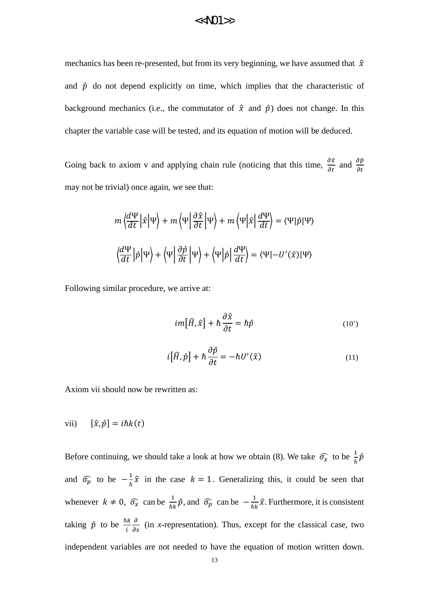mechanics has been re-presented, but from its very beginning, we have assumed that  $\hat{x}$ and  $\hat{p}$  do not depend explicitly on time, which implies that the characteristic of background mechanics (i.e., the commutator of  $\hat{x}$  and  $\hat{p}$ ) does not change. In this chapter the variable case will be tested, and its equation of motion will be deduced.

Going back to axiom v and applying chain rule (noticing that this time,  $\frac{\partial \hat{x}}{\partial t}$  and  $\frac{\partial \hat{p}}{\partial t}$ may not be trivial) once again, we see that:

$$
m\left\langle \frac{d\Psi}{dt} \left| \hat{x} \right| \Psi \right\rangle + m\left\langle \Psi \left| \frac{\partial \hat{x}}{\partial t} \right| \Psi \right\rangle + m\left\langle \Psi \left| \hat{x} \right| \frac{d\Psi}{dt} \right\rangle = \left\langle \Psi \right| \hat{p} \left| \Psi \right\rangle
$$

$$
\left\langle \frac{d\Psi}{dt} \left| \hat{p} \right| \Psi \right\rangle + \left\langle \Psi \left| \frac{\partial \hat{p}}{\partial t} \right| \Psi \right\rangle + \left\langle \Psi \left| \hat{p} \right| \frac{d\Psi}{dt} \right\rangle = \left\langle \Psi \right| - U'(\hat{x}) \left| \Psi \right\rangle
$$

Following similar procedure, we arrive at:

$$
im[\hat{H}, \hat{x}] + \hbar \frac{\partial \hat{x}}{\partial t} = \hbar \hat{p}
$$
 (10')

$$
i[\hat{H}, \hat{p}] + \hbar \frac{\partial \hat{p}}{\partial t} = -\hbar U'(\hat{x})
$$
\n(11)

Axiom vii should now be rewritten as:

vii)  $[\hat{x}, \hat{p}] = i\hbar k(t)$ 

Before continuing, we should take a look at how we obtain (8). We take  $\widehat{\sigma}_x$  to be  $\frac{1}{\hbar}\widehat{p}$ and  $\widehat{\sigma_p}$  to be  $-\frac{1}{h}$  $\frac{1}{\hbar}\hat{x}$  in the case  $k = 1$ . Generalizing this, it could be seen that whenever  $k \neq 0$ ,  $\widehat{\sigma_x}$  can be  $\frac{1}{\hbar k} \widehat{p}$ , and  $\widehat{\sigma_p}$  can be  $-\frac{1}{\hbar l}$  $\frac{1}{\hbar k} \hat{x}$ . Furthermore, it is consistent taking  $\hat{p}$  to be  $\frac{\hbar k}{i}$  $\frac{\partial}{\partial x}$  (in *x*-representation). Thus, except for the classical case, two independent variables are not needed to have the equation of motion written down.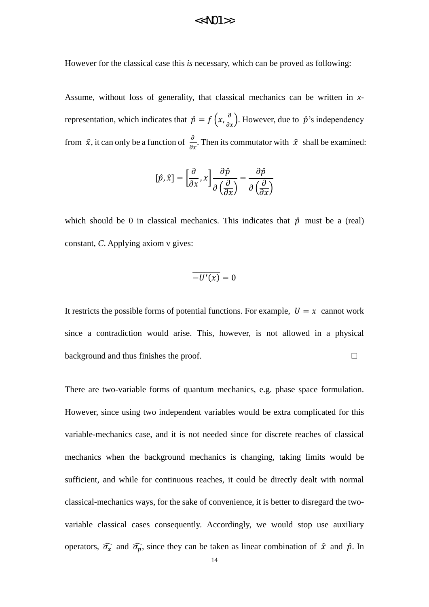However for the classical case this *is* necessary, which can be proved as following:

Assume, without loss of generality, that classical mechanics can be written in *x*representation, which indicates that  $\hat{p} = f\left(x, \frac{\partial}{\partial x}\right)$ . However, due to  $\hat{p}$ 's independency from  $\hat{x}$ , it can only be a function of  $\frac{\partial}{\partial x}$ . Then its commutator with  $\hat{x}$  shall be examined:

$$
[\hat{p}, \hat{x}] = \left[\frac{\partial}{\partial x}, x\right] \frac{\partial \hat{p}}{\partial \left(\frac{\partial}{\partial x}\right)} = \frac{\partial \hat{p}}{\partial \left(\frac{\partial}{\partial x}\right)}
$$

which should be 0 in classical mechanics. This indicates that  $\hat{p}$  must be a (real) constant, *C*. Applying axiom v gives:

$$
\overline{-U'(x)}=0
$$

It restricts the possible forms of potential functions. For example,  $U = x$  cannot work since a contradiction would arise. This, however, is not allowed in a physical background and thus finishes the proof. □

There are two-variable forms of quantum mechanics, e.g. phase space formulation. However, since using two independent variables would be extra complicated for this variable-mechanics case, and it is not needed since for discrete reaches of classical mechanics when the background mechanics is changing, taking limits would be sufficient, and while for continuous reaches, it could be directly dealt with normal classical-mechanics ways, for the sake of convenience, it is better to disregard the twovariable classical cases consequently. Accordingly, we would stop use auxiliary operators,  $\widehat{\sigma_x}$  and  $\widehat{\sigma_p}$ , since they can be taken as linear combination of  $\hat{x}$  and  $\hat{p}$ . In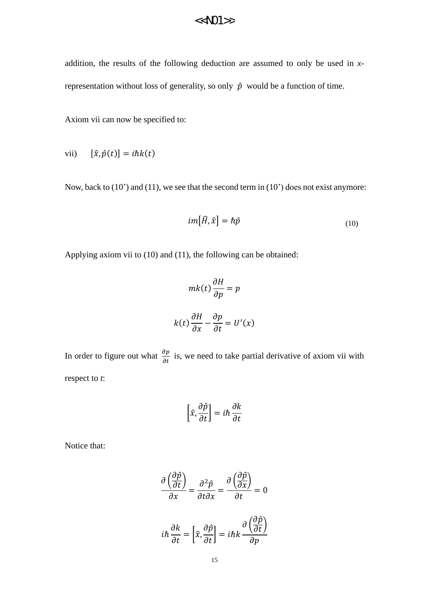addition, the results of the following deduction are assumed to only be used in *x*representation without loss of generality, so only  $\hat{p}$  would be a function of time.

Axiom vii can now be specified to:

vii)  $[\hat{x}, \hat{p}(t)] = i\hbar k(t)$ 

Now, back to (10') and (11), we see that the second term in (10') does not exist anymore:

$$
im[\widehat{H},\widehat{x}] = \hbar \widehat{p}
$$
\n(10)

Applying axiom vii to (10) and (11), the following can be obtained:

$$
mk(t)\frac{\partial H}{\partial p} = p
$$

$$
k(t)\frac{\partial H}{\partial x} - \frac{\partial p}{\partial t} = U'(x)
$$

In order to figure out what  $\frac{\partial p}{\partial t}$  is, we need to take partial derivative of axiom vii with respect to *t*:

$$
\left[\hat{x}, \frac{\partial \hat{p}}{\partial t}\right] = i\hbar \frac{\partial k}{\partial t}
$$

Notice that:

$$
\frac{\partial \left(\frac{\partial \hat{p}}{\partial t}\right)}{\partial x} = \frac{\partial^2 \hat{p}}{\partial t \partial x} = \frac{\partial \left(\frac{\partial \hat{p}}{\partial x}\right)}{\partial t} = 0
$$

$$
i\hbar \frac{\partial k}{\partial t} = \left[\hat{x}, \frac{\partial \hat{p}}{\partial t}\right] = i\hbar k \frac{\partial \left(\frac{\partial \hat{p}}{\partial t}\right)}{\partial p}
$$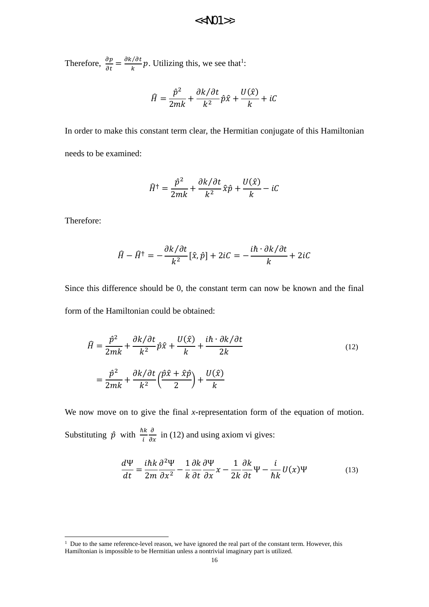Therefore,  $\frac{\partial p}{\partial t} = \frac{\partial k/\partial t}{k}$  $\frac{1}{k}$ , Utilizing this, we see that<sup>1</sup>:

$$
\hat{H} = \frac{\hat{p}^2}{2mk} + \frac{\partial k/\partial t}{k^2} \hat{p}\hat{x} + \frac{U(\hat{x})}{k} + iC
$$

In order to make this constant term clear, the Hermitian conjugate of this Hamiltonian needs to be examined:

$$
\widehat{H}^{\dagger} = \frac{\widehat{p}^2}{2mk} + \frac{\partial k/\partial t}{k^2} \widehat{x}\widehat{p} + \frac{U(\widehat{x})}{k} - iC
$$

Therefore:

<u>.</u>

$$
\hat{H} - \hat{H}^{\dagger} = -\frac{\partial k/\partial t}{k^2} [\hat{x}, \hat{p}] + 2iC = -\frac{i\hbar \cdot \partial k/\partial t}{k} + 2iC
$$

Since this difference should be 0, the constant term can now be known and the final form of the Hamiltonian could be obtained:

$$
\hat{H} = \frac{\hat{p}^2}{2mk} + \frac{\partial k/\partial t}{k^2} \hat{p}\hat{x} + \frac{U(\hat{x})}{k} + \frac{i\hbar \cdot \partial k/\partial t}{2k}
$$
\n
$$
= \frac{\hat{p}^2}{2mk} + \frac{\partial k/\partial t}{k^2} \left(\frac{\hat{p}\hat{x} + \hat{x}\hat{p}}{2}\right) + \frac{U(\hat{x})}{k}
$$
\n(12)

We now move on to give the final *x*-representation form of the equation of motion. Substituting  $\hat{p}$  with  $\frac{\hbar k}{i}$  $\frac{\partial}{\partial x}$  in (12) and using axiom vi gives:

$$
\frac{d\Psi}{dt} = \frac{i\hbar k}{2m} \frac{\partial^2 \Psi}{\partial x^2} - \frac{1}{k} \frac{\partial k}{\partial t} \frac{\partial \Psi}{\partial x} x - \frac{1}{2k} \frac{\partial k}{\partial t} \Psi - \frac{i}{\hbar k} U(x) \Psi
$$
(13)

 $1$  Due to the same reference-level reason, we have ignored the real part of the constant term. However, this Hamiltonian is impossible to be Hermitian unless a nontrivial imaginary part is utilized.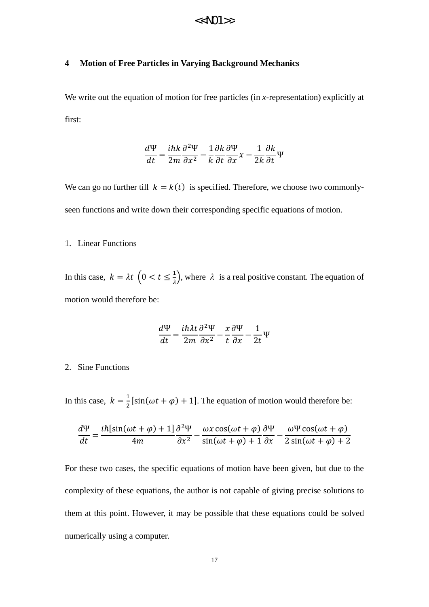#### **4 Motion of Free Particles in Varying Background Mechanics**

We write out the equation of motion for free particles (in *x*-representation) explicitly at first:

$$
\frac{d\Psi}{dt} = \frac{i\hbar k}{2m} \frac{\partial^2 \Psi}{\partial x^2} - \frac{1}{k} \frac{\partial k}{\partial t} \frac{\partial \Psi}{\partial x} x - \frac{1}{2k} \frac{\partial k}{\partial t} \Psi
$$

We can go no further till  $k = k(t)$  is specified. Therefore, we choose two commonlyseen functions and write down their corresponding specific equations of motion.

#### 1. Linear Functions

In this case,  $k = \lambda t \left( 0 < t \leq \frac{1}{\lambda} \right)$ , where  $\lambda$  is a real positive constant. The equation of motion would therefore be:

$$
\frac{d\Psi}{dt} = \frac{i\hbar\lambda t}{2m}\frac{\partial^2 \Psi}{\partial x^2} - \frac{x}{t}\frac{\partial \Psi}{\partial x} - \frac{1}{2t}\Psi
$$

#### 2. Sine Functions

In this case,  $k = \frac{1}{2} [\sin(\omega t + \varphi) + 1]$ . The equation of motion would therefore be:

$$
\frac{d\Psi}{dt} = \frac{i\hbar[\sin(\omega t + \varphi) + 1]}{4m} \frac{\partial^2 \Psi}{\partial x^2} - \frac{\omega x \cos(\omega t + \varphi)}{\sin(\omega t + \varphi) + 1} \frac{\partial \Psi}{\partial x} - \frac{\omega \Psi \cos(\omega t + \varphi)}{2\sin(\omega t + \varphi) + 2}
$$

For these two cases, the specific equations of motion have been given, but due to the complexity of these equations, the author is not capable of giving precise solutions to them at this point. However, it may be possible that these equations could be solved numerically using a computer.